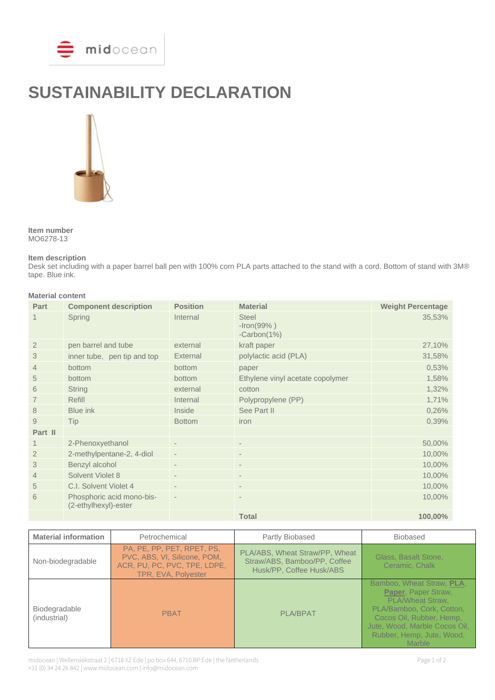

# **SUSTAINABILITY DECLARATION**



**Item number** MO6278-13

#### **Item description**

Desk set including with a paper barrel ball pen with 100% corn PLA parts attached to the stand with a cord. Bottom of stand with 3M® tape. Blue ink.

### **Material content**

| Part           | <b>Component description</b>                      | <b>Position</b>          | <b>Material</b>                                | <b>Weight Percentage</b> |
|----------------|---------------------------------------------------|--------------------------|------------------------------------------------|--------------------------|
|                | Spring                                            | Internal                 | <b>Steel</b><br>$-Iron(99% )$<br>$-Carbon(1%)$ | 35,53%                   |
| $\overline{2}$ | pen barrel and tube                               | external                 | kraft paper                                    | 27,10%                   |
| 3              | inner tube, pen tip and top                       | External                 | polylactic acid (PLA)                          | 31,58%                   |
| $\overline{4}$ | bottom                                            | bottom                   | paper                                          | 0,53%                    |
| 5              | bottom                                            | bottom                   | Ethylene vinyl acetate copolymer               | 1,58%                    |
| 6              | <b>String</b>                                     | external                 | cotton                                         | 1,32%                    |
|                | Refill                                            | Internal                 | Polypropylene (PP)                             | 1,71%                    |
| 8              | Blue ink                                          | Inside                   | See Part II                                    | 0,26%                    |
| 9              | Tip                                               | <b>Bottom</b>            | iron                                           | 0,39%                    |
| Part II        |                                                   |                          |                                                |                          |
| 1              | 2-Phenoxyethanol                                  |                          | $\overline{\phantom{a}}$                       | 50,00%                   |
| $\overline{2}$ | 2-methylpentane-2, 4-diol                         | $\overline{\phantom{a}}$ | $\overline{\phantom{a}}$                       | 10,00%                   |
| 3              | Benzyl alcohol                                    |                          | $\overline{\phantom{a}}$                       | 10,00%                   |
| $\overline{4}$ | Solvent Violet 8                                  | $\overline{\phantom{0}}$ | $\overline{\phantom{a}}$                       | 10,00%                   |
| 5              | C.I. Solvent Violet 4                             | $\overline{\phantom{a}}$ |                                                | 10,00%                   |
| 6              | Phosphoric acid mono-bis-<br>(2-ethylhexyl)-ester |                          | $\overline{\phantom{0}}$                       | 10,00%                   |
|                |                                                   |                          | <b>Total</b>                                   | 100,00%                  |

| <b>Material information</b>   | Petrochemical                                                                                                     | Partly Biobased                                                                            | <b>Biobased</b>                                                                                                                                                                                              |
|-------------------------------|-------------------------------------------------------------------------------------------------------------------|--------------------------------------------------------------------------------------------|--------------------------------------------------------------------------------------------------------------------------------------------------------------------------------------------------------------|
| Non-biodegradable             | PA, PE, PP, PET, RPET, PS,<br>PVC, ABS, VI, Silicone, POM,<br>ACR, PU, PC, PVC, TPE, LDPE,<br>TPR, EVA, Polyester | PLA/ABS, Wheat Straw/PP, Wheat<br>Straw/ABS, Bamboo/PP, Coffee<br>Husk/PP, Coffee Husk/ABS | Glass, Basalt Stone,<br>Ceramic, Chalk                                                                                                                                                                       |
| Biodegradable<br>(industrial) | <b>PBAT</b>                                                                                                       | <b>PLA/BPAT</b>                                                                            | Bamboo, Wheat Straw, PLA,<br>Paper, Paper Straw,<br>PLA/Wheat Straw,<br>PLA/Bamboo, Cork, Cotton,<br>Cocos Oil, Rubber, Hemp,<br>Jute, Wood, Marble Cocos Oil,<br>Rubber, Hemp, Jute, Wood,<br><b>Marble</b> |

midocean | Wellensiekstraat 2 | 6718 XZ Ede | po box 644, 6710 BP Ede | the Netherlands Page 1 of 2 +31 (0) 34 24 26 842 | www.midocean.com | info@midocean.com